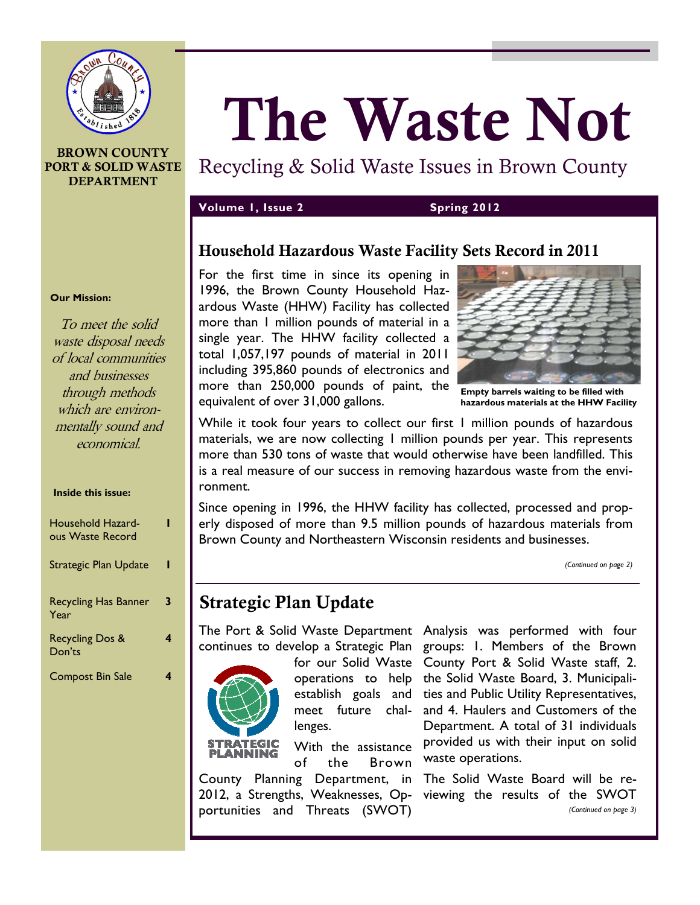

#### **BROWN COUNTY PORT & SOLID WASTE DEPARTMENT**

# **The Waste Not**

Recycling & Solid Waste Issues in Brown County

#### **Volume 1, Issue 2 Spring 2012**

## **Household Hazardous Waste Facility Sets Record in 2011**

For the first time in since its opening in 1996, the Brown County Household Hazardous Waste (HHW) Facility has collected more than 1 million pounds of material in a single year. The HHW facility collected a total 1,057,197 pounds of material in 2011 including 395,860 pounds of electronics and more than 250,000 pounds of paint, the equivalent of over 31,000 gallons.



**Empty barrels waiting to be filled with hazardous materials at the HHW Facility** 

While it took four years to collect our first 1 million pounds of hazardous materials, we are now collecting 1 million pounds per year. This represents more than 530 tons of waste that would otherwise have been landfilled. This is a real measure of our success in removing hazardous waste from the environment.

Since opening in 1996, the HHW facility has collected, processed and properly disposed of more than 9.5 million pounds of hazardous materials from Brown County and Northeastern Wisconsin residents and businesses.

*(Continued on page 2)* 

# **Strategic Plan Update**

The Port & Solid Waste Department Analysis was performed with four continues to develop a Strategic Plan groups: 1. Members of the Brown



lenges.

**STRATEGIC** With the assistance **ANNING** of the Brown County Planning Department, in The Solid Waste Board will be re-2012, a Strengths, Weaknesses, Op-viewing the results of the SWOT portunities and Threats (SWOT)

for our Solid Waste County Port & Solid Waste staff, 2. operations to help the Solid Waste Board, 3. Municipaliestablish goals and ties and Public Utility Representatives, meet future chal-and 4. Haulers and Customers of the Department. A total of 31 individuals provided us with their input on solid waste operations.

*(Continued on page 3)* 

#### **Our Mission:**

To meet the solid waste disposal needs of local communities and businesses through methods which are environmentally sound and economical.

#### **Inside this issue:**

| Household Hazard-<br>ous Waste Record |   |
|---------------------------------------|---|
| <b>Strategic Plan Update</b>          |   |
| <b>Recycling Has Banner</b><br>Year   | 3 |
| <b>Recycling Dos &amp;</b><br>Don'ts  | 4 |
| <b>Compost Bin Sale</b>               |   |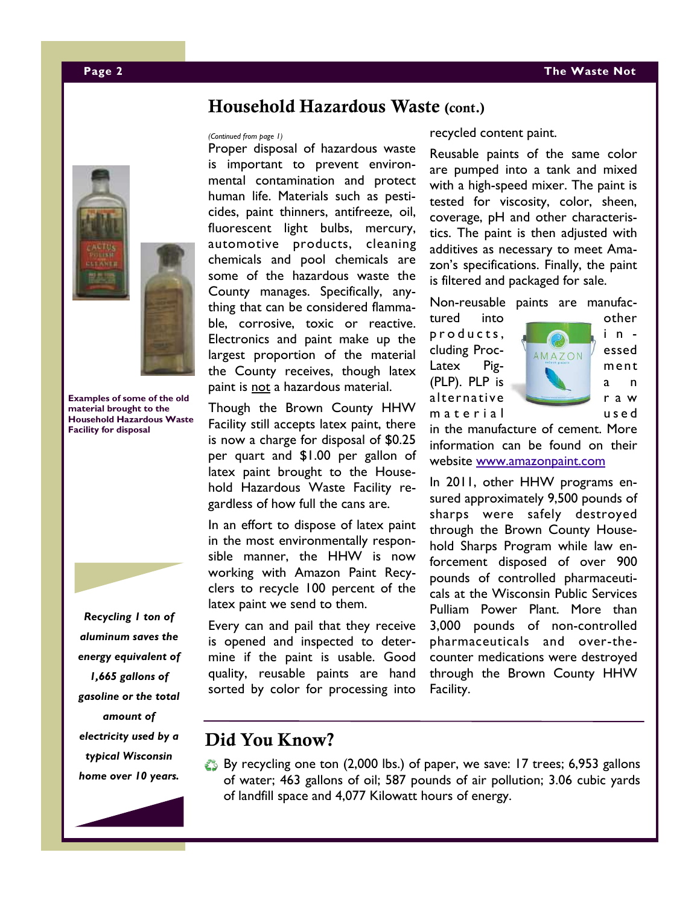#### **Household Hazardous Waste (cont.)**

Proper disposal of hazardous waste is important to prevent environmental contamination and protect human life. Materials such as pesticides, paint thinners, antifreeze, oil, fluorescent light bulbs, mercury, automotive products, cleaning chemicals and pool chemicals are some of the hazardous waste the County manages. Specifically, anything that can be considered flammable, corrosive, toxic or reactive. Electronics and paint make up the largest proportion of the material the County receives, though latex paint is not a hazardous material.

Though the Brown County HHW Facility still accepts latex paint, there is now a charge for disposal of \$0.25 per quart and \$1.00 per gallon of latex paint brought to the Household Hazardous Waste Facility regardless of how full the cans are.

In an effort to dispose of latex paint in the most environmentally responsible manner, the HHW is now working with Amazon Paint Recyclers to recycle 100 percent of the latex paint we send to them.

Every can and pail that they receive is opened and inspected to determine if the paint is usable. Good quality, reusable paints are hand sorted by color for processing into

*(Continued from page 1)* recycled content paint.

Reusable paints of the same color are pumped into a tank and mixed with a high-speed mixer. The paint is tested for viscosity, color, sheen, coverage, pH and other characteristics. The paint is then adjusted with additives as necessary to meet Amazon's specifications. Finally, the paint is filtered and packaged for sale.

Non-reusable paints are manufac-

tured into other p r o ducts,  $\sqrt{2}$  in cluding Proc-  $\bigcup_{AMAZON}$  essed Latex Pig- **Manufature Pig-** ment (PLP). PLP is a n alternative r a w m a t e r i a l



in the manufacture of cement. More information can be found on their website www.amazonpaint.com

In 2011, other HHW programs ensured approximately 9,500 pounds of sharps were safely destroyed through the Brown County Household Sharps Program while law enforcement disposed of over 900 pounds of controlled pharmaceuticals at the Wisconsin Public Services Pulliam Power Plant. More than 3,000 pounds of non-controlled pharmaceuticals and over-thecounter medications were destroyed through the Brown County HHW Facility.

#### **Did You Know?**

By recycling one ton (2,000 lbs.) of paper, we save: 17 trees; 6,953 gallons of water; 463 gallons of oil; 587 pounds of air pollution; 3.06 cubic yards of landfill space and 4,077 Kilowatt hours of energy.





**Examples of some of the old material brought to the Household Hazardous Waste Facility for disposal** 



*Recycling 1 ton of* 

*aluminum saves the energy equivalent of 1,665 gallons of gasoline or the total amount of electricity used by a typical Wisconsin home over 10 years.* 

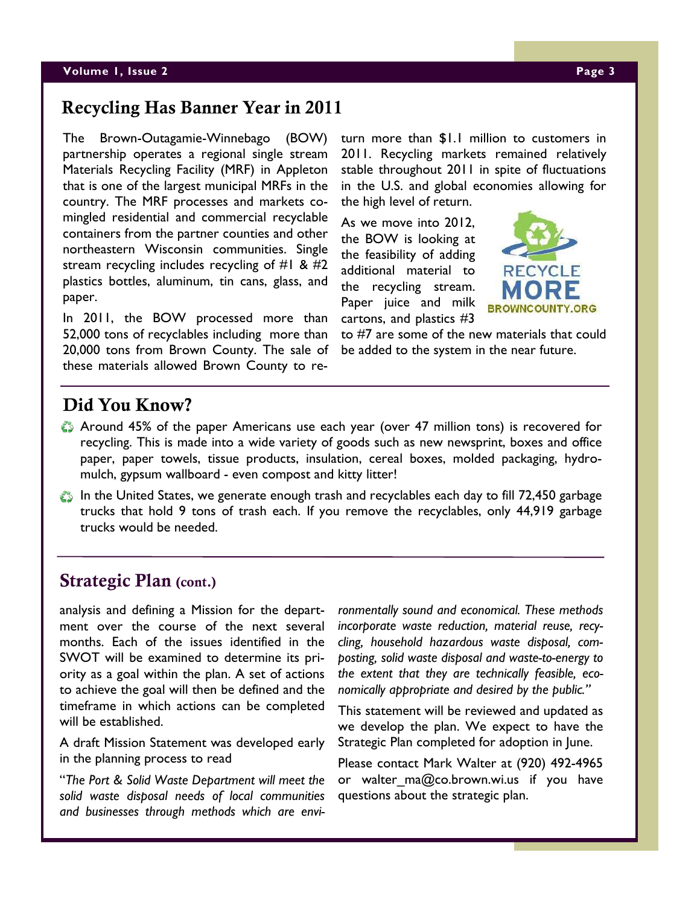## **Recycling Has Banner Year in 2011**

The Brown-Outagamie-Winnebago (BOW) partnership operates a regional single stream Materials Recycling Facility (MRF) in Appleton that is one of the largest municipal MRFs in the country. The MRF processes and markets comingled residential and commercial recyclable containers from the partner counties and other northeastern Wisconsin communities. Single stream recycling includes recycling of  $#1 \& #2$ plastics bottles, aluminum, tin cans, glass, and paper.

In 2011, the BOW processed more than 52,000 tons of recyclables including more than 20,000 tons from Brown County. The sale of these materials allowed Brown County to return more than \$1.1 million to customers in 2011. Recycling markets remained relatively stable throughout 2011 in spite of fluctuations in the U.S. and global economies allowing for the high level of return.

As we move into 2012, the BOW is looking at the feasibility of adding additional material to the recycling stream. Paper juice and milk cartons, and plastics #3



to #7 are some of the new materials that could be added to the system in the near future.

# **Did You Know?**

- Around 45% of the paper Americans use each year (over 47 million tons) is recovered for recycling. This is made into a wide variety of goods such as new newsprint, boxes and office paper, paper towels, tissue products, insulation, cereal boxes, molded packaging, hydromulch, gypsum wallboard - even compost and kitty litter!
- In the United States, we generate enough trash and recyclables each day to fill 72,450 garbage trucks that hold 9 tons of trash each. If you remove the recyclables, only 44,919 garbage trucks would be needed.

# **Strategic Plan (cont.)**

analysis and defining a Mission for the department over the course of the next several months. Each of the issues identified in the SWOT will be examined to determine its priority as a goal within the plan. A set of actions to achieve the goal will then be defined and the timeframe in which actions can be completed will be established.

A draft Mission Statement was developed early in the planning process to read

"*The Port & Solid Waste Department will meet the solid waste disposal needs of local communities and businesses through methods which are envi-* *ronmentally sound and economical. These methods incorporate waste reduction, material reuse, recycling, household hazardous waste disposal, composting, solid waste disposal and waste-to-energy to the extent that they are technically feasible, economically appropriate and desired by the public."*

This statement will be reviewed and updated as we develop the plan. We expect to have the Strategic Plan completed for adoption in June.

Please contact Mark Walter at (920) 492-4965 or walter ma@co.brown.wi.us if you have questions about the strategic plan.